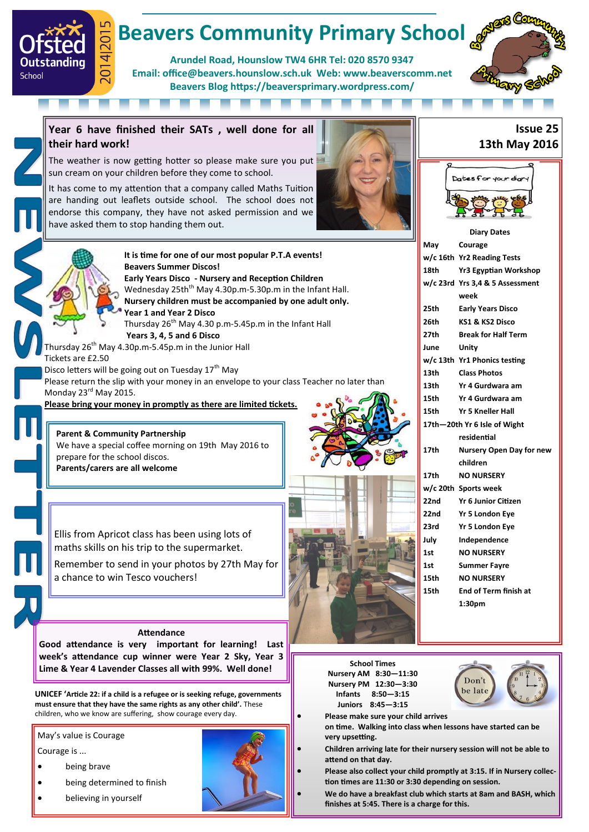# **Beavers Community Primary School**

**Arundel Road, Hounslow TW4 6HR Tel: 020 8570 9347 Email: office@beavers.hounslow.sch.uk Web: www.beaverscomm.net Beavers Blog https://beaversprimary.wordpress.com/**



**Year 6 have finished their SATs , well done for all their hard work!**

The weather is now getting hotter so please make sure you put sun cream on your children before they come to school.

It has come to my attention that a company called Maths Tuition are handing out leaflets outside school. The school does not endorse this company, they have not asked permission and we have asked them to stop handing them out.





 $\overline{4}$ 

Outstanding

School

**It is time for one of our most popular P.T.A events! Beavers Summer Discos! Early Years Disco - Nursery and Reception Children** Wednesday 25th<sup>th</sup> May 4.30p.m-5.30p.m in the Infant Hall. **Nursery children must be accompanied by one adult only. Year 1 and Year 2 Disco** Thursday 26<sup>th</sup> May 4.30 p.m-5.45p.m in the Infant Hall

**Years 3, 4, 5 and 6 Disco**

Thursday 26<sup>th</sup> May 4.30p.m-5.45p.m in the Junior Hall Tickets are £2.50

Disco letters will be going out on Tuesday  $17<sup>th</sup>$  May

Please return the slip with your money in an envelope to your class Teacher no later than Monday 23<sup>rd</sup> May 2015.

**Please bring your money in promptly as there are limited tickets.**

## **Parent & Community Partnership**

We have a special coffee morning on 19th May 2016 to prepare for the school discos. **Parents/carers are all welcome**





Dates for your did

|                  | week                         |
|------------------|------------------------------|
| 25 <sub>th</sub> | <b>Early Years Disco</b>     |
| 26th             | KS1 & KS2 Disco              |
| 27th the control | <b>Break for Half Term</b>   |
| June             | Unity                        |
|                  | w/c 13th Yr1 Phonics testing |
| 13th             | <b>Class Photos</b>          |
|                  | 13th Yr 4 Gurdwara am        |
| 15th             | Yr 4 Gurdwara am             |
|                  | 15th Yr 5 Kneller Hall       |
|                  | 17th-20th Yr 6 Isle of Wight |
|                  | residential                  |
| 17th             | Nursery Open Day for new     |
|                  | children                     |
| 17th             | <b>NO NURSERY</b>            |
|                  | w/c 20th Sports week         |
| 22nd             | <b>Yr 6 Junior Citizen</b>   |
| 22nd             | Yr 5 London Eye              |
| 23rd             | <b>Yr 5 London Eye</b>       |
| July             | Independence                 |
| 1st              | <b>NO NURSERY</b>            |
| 1st              | <b>Summer Fayre</b>          |
| 15th             | <b>NO NURSERY</b>            |
| 15th             | <b>End of Term finish at</b> |
|                  | 1:30 <sub>pm</sub>           |

Ellis from Apricot class has been using lots of maths skills on his trip to the supermarket.

Remember to send in your photos by 27th May for a chance to win Tesco vouchers!

#### **Attendance**

**Good attendance is very important for learning! Last week's attendance cup winner were Year 2 Sky, Year 3 Lime & Year 4 Lavender Classes all with 99%. Well done!**

**UNICEF 'Article 22: if a child is a refugee or is seeking refuge, governments must ensure that they have the same rights as any other child'.** These children, who we know are suffering, show courage every day.

May's value is Courage

Courage is ...

- being brave
- being determined to finish
- believing in yourself



**School Times Nursery AM 8:30—11:30 Nursery PM 12:30—3:30 Infants 8:50—3:15 Juniors 8:45—3:15**



**Please make sure your child arrives** 

**on time. Walking into class when lessons have started can be very upsetting.**

 **Children arriving late for their nursery session will not be able to attend on that day.**

 **Please also collect your child promptly at 3:15. If in Nursery collection times are 11:30 or 3:30 depending on session.**

 **We do have a breakfast club which starts at 8am and BASH, which finishes at 5:45. There is a charge for this.**

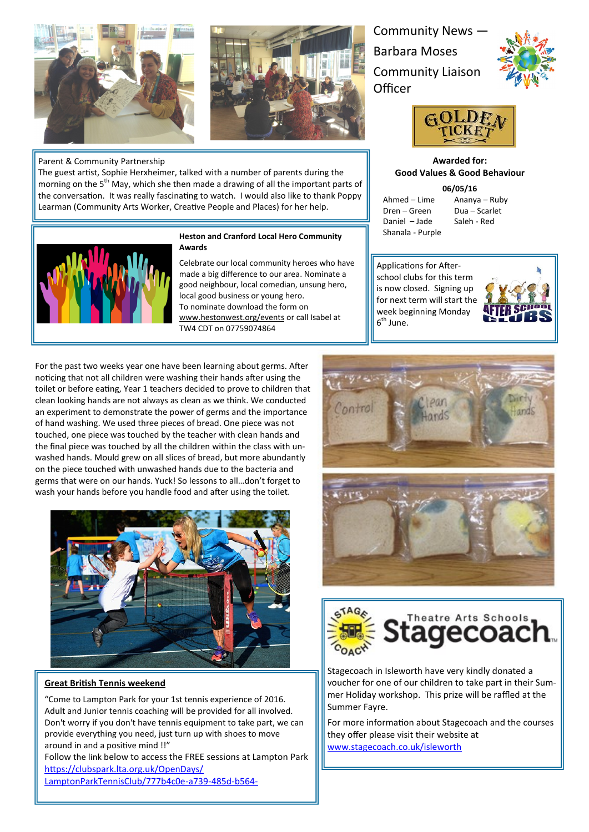

### Parent & Community Partnership

The guest artist, Sophie Herxheimer, talked with a number of parents during the morning on the 5<sup>th</sup> May, which she then made a drawing of all the important parts of the conversation. It was really fascinating to watch. I would also like to thank Poppy Learman (Community Arts Worker, Creative People and Places) for her help.



## **Heston and Cranford Local Hero Community Awards**

Celebrate our local community heroes who have made a big difference to our area. Nominate a good neighbour, local comedian, unsung hero, local good business or young hero. To nominate download the form on [www.hestonwest.org/events](http://www.hestonwest.org/events) or call Isabel at TW4 CDT on 07759074864

Community News — Barbara Moses Community Liaison **Officer** 





**Awarded for: Good Values & Good Behaviour**

**06/05/16**

Dren – Green Dua – Scarlet Daniel – Jade Saleh - Red Shanala - Purple

Ahmed – Lime Ananya – Ruby

Applications for Afterschool clubs for this term is now closed. Signing up for next term will start the week beginning Monday 6<sup>th</sup> June.



For the past two weeks year one have been learning about germs. After noticing that not all children were washing their hands after using the toilet or before eating, Year 1 teachers decided to prove to children that clean looking hands are not always as clean as we think. We conducted an experiment to demonstrate the power of germs and the importance of hand washing. We used three pieces of bread. One piece was not touched, one piece was touched by the teacher with clean hands and the final piece was touched by all the children within the class with unwashed hands. Mould grew on all slices of bread, but more abundantly on the piece touched with unwashed hands due to the bacteria and germs that were on our hands. Yuck! So lessons to all…don't forget to wash your hands before you handle food and after using the toilet.



## **Great British Tennis weekend**

"Come to Lampton Park for your 1st tennis experience of 2016. Adult and Junior tennis coaching will be provided for all involved. Don't worry if you don't have tennis equipment to take part, we can provide everything you need, just turn up with shoes to move around in and a positive mind !!"

Follow the link below to access the FREE sessions at Lampton Park [https://clubspark.lta.org.uk/OpenDays/](https://clubspark.lta.org.uk/OpenDays/LamptonParkTennisClub/777b4c0e-a739-485d-b564-392c0ea2b416) [LamptonParkTennisClub/777b4c0e](https://clubspark.lta.org.uk/OpenDays/LamptonParkTennisClub/777b4c0e-a739-485d-b564-392c0ea2b416)-a739-485d-b564-





Stagecoach in Isleworth have very kindly donated a voucher for one of our children to take part in their Summer Holiday workshop. This prize will be raffled at the Summer Fayre.

For more information about Stagecoach and the courses they offer please visit their website at [www.stagecoach.co.uk/isleworth](http://www.stagecoach.co.uk/isleworth)